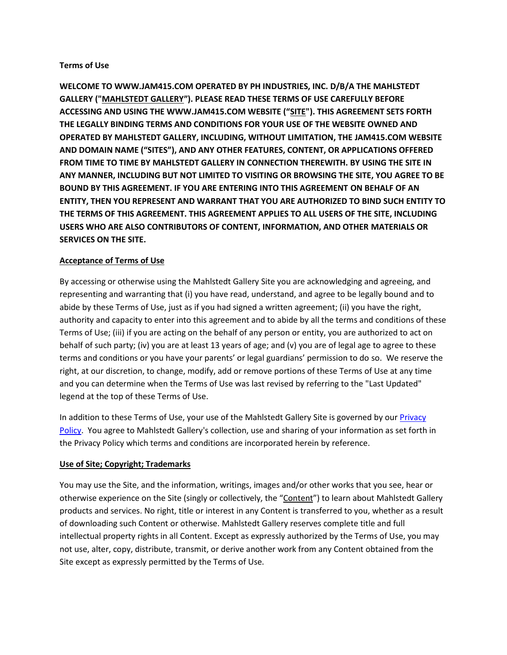## **Terms of Use**

**WELCOME TO WWW.JAM415.COM OPERATED BY PH INDUSTRIES, INC. D/B/A THE MAHLSTEDT GALLERY ("MAHLSTEDT GALLERY"). PLEASE READ THESE TERMS OF USE CAREFULLY BEFORE ACCESSING AND USING THE WWW.JAM415.COM WEBSITE ("SITE"). THIS AGREEMENT SETS FORTH THE LEGALLY BINDING TERMS AND CONDITIONS FOR YOUR USE OF THE WEBSITE OWNED AND OPERATED BY MAHLSTEDT GALLERY, INCLUDING, WITHOUT LIMITATION, THE JAM415.COM WEBSITE AND DOMAIN NAME ("SITES"), AND ANY OTHER FEATURES, CONTENT, OR APPLICATIONS OFFERED FROM TIME TO TIME BY MAHLSTEDT GALLERY IN CONNECTION THEREWITH. BY USING THE SITE IN ANY MANNER, INCLUDING BUT NOT LIMITED TO VISITING OR BROWSING THE SITE, YOU AGREE TO BE BOUND BY THIS AGREEMENT. IF YOU ARE ENTERING INTO THIS AGREEMENT ON BEHALF OF AN ENTITY, THEN YOU REPRESENT AND WARRANT THAT YOU ARE AUTHORIZED TO BIND SUCH ENTITY TO THE TERMS OF THIS AGREEMENT. THIS AGREEMENT APPLIES TO ALL USERS OF THE SITE, INCLUDING USERS WHO ARE ALSO CONTRIBUTORS OF CONTENT, INFORMATION, AND OTHER MATERIALS OR SERVICES ON THE SITE.**

## **Acceptance of Terms of Use**

By accessing or otherwise using the Mahlstedt Gallery Site you are acknowledging and agreeing, and representing and warranting that (i) you have read, understand, and agree to be legally bound and to abide by these Terms of Use, just as if you had signed a written agreement; (ii) you have the right, authority and capacity to enter into this agreement and to abide by all the terms and conditions of these Terms of Use; (iii) if you are acting on the behalf of any person or entity, you are authorized to act on behalf of such party; (iv) you are at least 13 years of age; and (v) you are of legal age to agree to these terms and conditions or you have your parents' or legal guardians' permission to do so. We reserve the right, at our discretion, to change, modify, add or remove portions of these Terms of Use at any time and you can determine when the Terms of Use was last revised by referring to the "Last Updated" legend at the top of these Terms of Use.

In addition to these Terms of Use, your use of the Mahlstedt Gallery Site is governed by our Privacy [Policy.](http://www.parchem.com/Privacy-Policy.aspx) You agree to Mahlstedt Gallery's collection, use and sharing of your information as set forth in the Privacy Policy which terms and conditions are incorporated herein by reference.

## **Use of Site; Copyright; Trademarks**

You may use the Site, and the information, writings, images and/or other works that you see, hear or otherwise experience on the Site (singly or collectively, the "Content") to learn about Mahlstedt Gallery products and services. No right, title or interest in any Content is transferred to you, whether as a result of downloading such Content or otherwise. Mahlstedt Gallery reserves complete title and full intellectual property rights in all Content. Except as expressly authorized by the Terms of Use, you may not use, alter, copy, distribute, transmit, or derive another work from any Content obtained from the Site except as expressly permitted by the Terms of Use.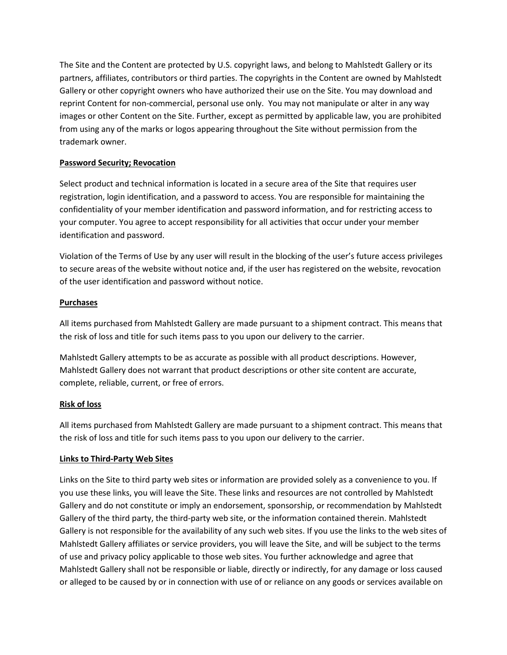The Site and the Content are protected by U.S. copyright laws, and belong to Mahlstedt Gallery or its partners, affiliates, contributors or third parties. The copyrights in the Content are owned by Mahlstedt Gallery or other copyright owners who have authorized their use on the Site. You may download and reprint Content for non-commercial, personal use only. You may not manipulate or alter in any way images or other Content on the Site. Further, except as permitted by applicable law, you are prohibited from using any of the marks or logos appearing throughout the Site without permission from the trademark owner.

## **Password Security; Revocation**

Select product and technical information is located in a secure area of the Site that requires user registration, login identification, and a password to access. You are responsible for maintaining the confidentiality of your member identification and password information, and for restricting access to your computer. You agree to accept responsibility for all activities that occur under your member identification and password.

Violation of the Terms of Use by any user will result in the blocking of the user's future access privileges to secure areas of the website without notice and, if the user has registered on the website, revocation of the user identification and password without notice.

## **Purchases**

All items purchased from Mahlstedt Gallery are made pursuant to a shipment contract. This means that the risk of loss and title for such items pass to you upon our delivery to the carrier.

Mahlstedt Gallery attempts to be as accurate as possible with all product descriptions. However, Mahlstedt Gallery does not warrant that product descriptions or other site content are accurate, complete, reliable, current, or free of errors.

#### **Risk of loss**

All items purchased from Mahlstedt Gallery are made pursuant to a shipment contract. This means that the risk of loss and title for such items pass to you upon our delivery to the carrier.

## **Links to Third-Party Web Sites**

Links on the Site to third party web sites or information are provided solely as a convenience to you. If you use these links, you will leave the Site. These links and resources are not controlled by Mahlstedt Gallery and do not constitute or imply an endorsement, sponsorship, or recommendation by Mahlstedt Gallery of the third party, the third-party web site, or the information contained therein. Mahlstedt Gallery is not responsible for the availability of any such web sites. If you use the links to the web sites of Mahlstedt Gallery affiliates or service providers, you will leave the Site, and will be subject to the terms of use and privacy policy applicable to those web sites. You further acknowledge and agree that Mahlstedt Gallery shall not be responsible or liable, directly or indirectly, for any damage or loss caused or alleged to be caused by or in connection with use of or reliance on any goods or services available on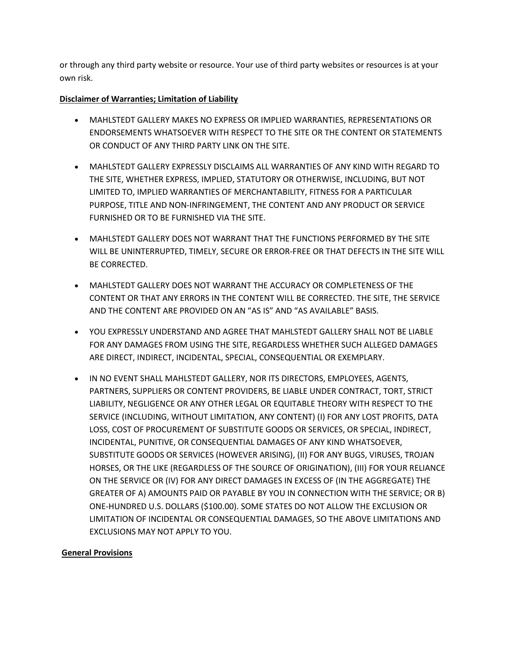or through any third party website or resource. Your use of third party websites or resources is at your own risk.

# **Disclaimer of Warranties; Limitation of Liability**

- MAHLSTEDT GALLERY MAKES NO EXPRESS OR IMPLIED WARRANTIES, REPRESENTATIONS OR ENDORSEMENTS WHATSOEVER WITH RESPECT TO THE SITE OR THE CONTENT OR STATEMENTS OR CONDUCT OF ANY THIRD PARTY LINK ON THE SITE.
- MAHLSTEDT GALLERY EXPRESSLY DISCLAIMS ALL WARRANTIES OF ANY KIND WITH REGARD TO THE SITE, WHETHER EXPRESS, IMPLIED, STATUTORY OR OTHERWISE, INCLUDING, BUT NOT LIMITED TO, IMPLIED WARRANTIES OF MERCHANTABILITY, FITNESS FOR A PARTICULAR PURPOSE, TITLE AND NON-INFRINGEMENT, THE CONTENT AND ANY PRODUCT OR SERVICE FURNISHED OR TO BE FURNISHED VIA THE SITE.
- MAHLSTEDT GALLERY DOES NOT WARRANT THAT THE FUNCTIONS PERFORMED BY THE SITE WILL BE UNINTERRUPTED, TIMELY, SECURE OR ERROR-FREE OR THAT DEFECTS IN THE SITE WILL BE CORRECTED.
- MAHLSTEDT GALLERY DOES NOT WARRANT THE ACCURACY OR COMPLETENESS OF THE CONTENT OR THAT ANY ERRORS IN THE CONTENT WILL BE CORRECTED. THE SITE, THE SERVICE AND THE CONTENT ARE PROVIDED ON AN "AS IS" AND "AS AVAILABLE" BASIS.
- YOU EXPRESSLY UNDERSTAND AND AGREE THAT MAHLSTEDT GALLERY SHALL NOT BE LIABLE FOR ANY DAMAGES FROM USING THE SITE, REGARDLESS WHETHER SUCH ALLEGED DAMAGES ARE DIRECT, INDIRECT, INCIDENTAL, SPECIAL, CONSEQUENTIAL OR EXEMPLARY.
- IN NO EVENT SHALL MAHLSTEDT GALLERY, NOR ITS DIRECTORS, EMPLOYEES, AGENTS, PARTNERS, SUPPLIERS OR CONTENT PROVIDERS, BE LIABLE UNDER CONTRACT, TORT, STRICT LIABILITY, NEGLIGENCE OR ANY OTHER LEGAL OR EQUITABLE THEORY WITH RESPECT TO THE SERVICE (INCLUDING, WITHOUT LIMITATION, ANY CONTENT) (I) FOR ANY LOST PROFITS, DATA LOSS, COST OF PROCUREMENT OF SUBSTITUTE GOODS OR SERVICES, OR SPECIAL, INDIRECT, INCIDENTAL, PUNITIVE, OR CONSEQUENTIAL DAMAGES OF ANY KIND WHATSOEVER, SUBSTITUTE GOODS OR SERVICES (HOWEVER ARISING), (II) FOR ANY BUGS, VIRUSES, TROJAN HORSES, OR THE LIKE (REGARDLESS OF THE SOURCE OF ORIGINATION), (III) FOR YOUR RELIANCE ON THE SERVICE OR (IV) FOR ANY DIRECT DAMAGES IN EXCESS OF (IN THE AGGREGATE) THE GREATER OF A) AMOUNTS PAID OR PAYABLE BY YOU IN CONNECTION WITH THE SERVICE; OR B) ONE-HUNDRED U.S. DOLLARS (\$100.00). SOME STATES DO NOT ALLOW THE EXCLUSION OR LIMITATION OF INCIDENTAL OR CONSEQUENTIAL DAMAGES, SO THE ABOVE LIMITATIONS AND EXCLUSIONS MAY NOT APPLY TO YOU.

# **General Provisions**